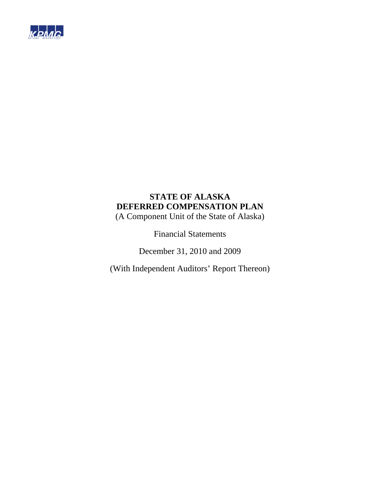

(A Component Unit of the State of Alaska)

Financial Statements

December 31, 2010 and 2009

(With Independent Auditors' Report Thereon)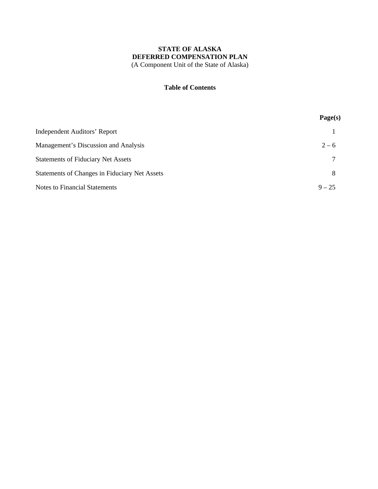### **Table of Contents**

|                                               | Page(s)  |
|-----------------------------------------------|----------|
| <b>Independent Auditors' Report</b>           |          |
| Management's Discussion and Analysis          | $2 - 6$  |
| <b>Statements of Fiduciary Net Assets</b>     | 7        |
| Statements of Changes in Fiduciary Net Assets | 8        |
| <b>Notes to Financial Statements</b>          | $9 - 25$ |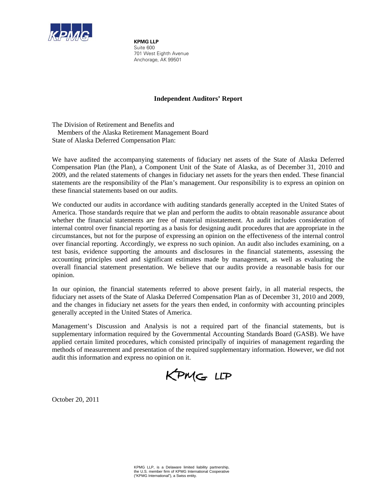

**KPMG LLP** Suite 600 701 West Eighth Avenue Anchorage, AK 99501

## **Independent Auditors' Report**

The Division of Retirement and Benefits and Members of the Alaska Retirement Management Board State of Alaska Deferred Compensation Plan:

We have audited the accompanying statements of fiduciary net assets of the State of Alaska Deferred Compensation Plan (the Plan), a Component Unit of the State of Alaska, as of December 31, 2010 and 2009, and the related statements of changes in fiduciary net assets for the years then ended. These financial statements are the responsibility of the Plan's management. Our responsibility is to express an opinion on these financial statements based on our audits.

We conducted our audits in accordance with auditing standards generally accepted in the United States of America. Those standards require that we plan and perform the audits to obtain reasonable assurance about whether the financial statements are free of material misstatement. An audit includes consideration of internal control over financial reporting as a basis for designing audit procedures that are appropriate in the circumstances, but not for the purpose of expressing an opinion on the effectiveness of the internal control over financial reporting. Accordingly, we express no such opinion. An audit also includes examining, on a test basis, evidence supporting the amounts and disclosures in the financial statements, assessing the accounting principles used and significant estimates made by management, as well as evaluating the overall financial statement presentation. We believe that our audits provide a reasonable basis for our opinion.

In our opinion, the financial statements referred to above present fairly, in all material respects, the fiduciary net assets of the State of Alaska Deferred Compensation Plan as of December 31, 2010 and 2009, and the changes in fiduciary net assets for the years then ended, in conformity with accounting principles generally accepted in the United States of America.

Management's Discussion and Analysis is not a required part of the financial statements, but is supplementary information required by the Governmental Accounting Standards Board (GASB). We have applied certain limited procedures, which consisted principally of inquiries of management regarding the methods of measurement and presentation of the required supplementary information. However, we did not audit this information and express no opinion on it.



October 20, 2011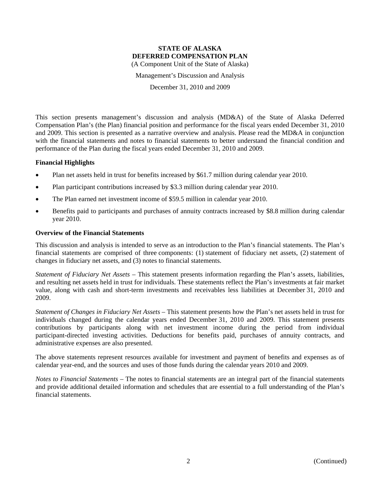Management's Discussion and Analysis

December 31, 2010 and 2009

This section presents management's discussion and analysis (MD&A) of the State of Alaska Deferred Compensation Plan's (the Plan) financial position and performance for the fiscal years ended December 31, 2010 and 2009. This section is presented as a narrative overview and analysis. Please read the MD&A in conjunction with the financial statements and notes to financial statements to better understand the financial condition and performance of the Plan during the fiscal years ended December 31, 2010 and 2009.

#### **Financial Highlights**

- Plan net assets held in trust for benefits increased by \$61.7 million during calendar year 2010.
- Plan participant contributions increased by \$3.3 million during calendar year 2010.
- The Plan earned net investment income of \$59.5 million in calendar year 2010.
- Benefits paid to participants and purchases of annuity contracts increased by \$8.8 million during calendar year 2010.

#### **Overview of the Financial Statements**

This discussion and analysis is intended to serve as an introduction to the Plan's financial statements. The Plan's financial statements are comprised of three components: (1) statement of fiduciary net assets, (2) statement of changes in fiduciary net assets, and (3) notes to financial statements.

*Statement of Fiduciary Net Assets* – This statement presents information regarding the Plan's assets, liabilities, and resulting net assets held in trust for individuals. These statements reflect the Plan's investments at fair market value, along with cash and short-term investments and receivables less liabilities at December 31, 2010 and 2009.

*Statement of Changes in Fiduciary Net Assets* – This statement presents how the Plan's net assets held in trust for individuals changed during the calendar years ended December 31, 2010 and 2009. This statement presents contributions by participants along with net investment income during the period from individual participant-directed investing activities. Deductions for benefits paid, purchases of annuity contracts, and administrative expenses are also presented.

The above statements represent resources available for investment and payment of benefits and expenses as of calendar year-end, and the sources and uses of those funds during the calendar years 2010 and 2009.

*Notes to Financial Statements* – The notes to financial statements are an integral part of the financial statements and provide additional detailed information and schedules that are essential to a full understanding of the Plan's financial statements.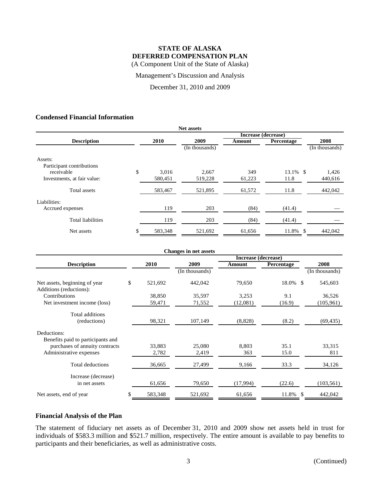(A Component Unit of the State of Alaska)

Management's Discussion and Analysis

December 31, 2010 and 2009

## **Condensed Financial Information**

| <b>Net assets</b>           |    |         |                |                     |              |                |
|-----------------------------|----|---------|----------------|---------------------|--------------|----------------|
|                             |    |         |                | Increase (decrease) |              |                |
| <b>Description</b>          |    | 2010    | 2009           | Amount              | Percentage   | 2008           |
|                             |    |         | (In thousands) |                     |              | (In thousands) |
| Assets:                     |    |         |                |                     |              |                |
| Participant contributions   |    |         |                |                     |              |                |
| receivable                  | \$ | 3.016   | 2,667          | 349                 | 13.1% \$     | 1,426          |
| Investments, at fair value: |    | 580,451 | 519,228        | 61,223              | 11.8         | 440,616        |
| Total assets                |    | 583,467 | 521,895        | 61,572              | 11.8         | 442,042        |
| Liabilities:                |    |         |                |                     |              |                |
| Accrued expenses            |    | 119     | 203            | (84)                | (41.4)       |                |
| <b>Total liabilities</b>    |    | 119     | 203            | (84)                | (41.4)       |                |
| Net assets                  | \$ | 583,348 | 521,692        | 61,656              | 11.8%<br>-\$ | 442,042        |

| <b>Changes in net assets</b>                                                                   |     |                 |                 |                     |              |  |                |
|------------------------------------------------------------------------------------------------|-----|-----------------|-----------------|---------------------|--------------|--|----------------|
|                                                                                                |     |                 |                 | Increase (decrease) |              |  |                |
| <b>Description</b>                                                                             |     | 2010            | 2009            | Amount              | Percentage   |  | 2008           |
|                                                                                                |     |                 | (In thousands)  |                     |              |  | (In thousands) |
| Net assets, beginning of year<br>Additions (reductions):                                       | \$  | 521,692         | 442,042         | 79,650              | 18.0% \$     |  | 545,603        |
| Contributions                                                                                  |     | 38,850          | 35,597          | 3,253               | 9.1          |  | 36,526         |
| Net investment income (loss)                                                                   |     | 59,471          | 71,552          | (12,081)            | (16.9)       |  | (105, 961)     |
| Total additions<br>(reductions)                                                                |     | 98,321          | 107,149         | (8,828)             | (8.2)        |  | (69, 435)      |
| Deductions:                                                                                    |     |                 |                 |                     |              |  |                |
| Benefits paid to participants and<br>purchases of annuity contracts<br>Administrative expenses |     | 33,883<br>2,782 | 25,080<br>2,419 | 8,803<br>363        | 35.1<br>15.0 |  | 33,315<br>811  |
| Total deductions                                                                               |     | 36,665          | 27,499          | 9,166               | 33.3         |  | 34,126         |
| Increase (decrease)<br>in net assets                                                           |     | 61,656          | 79,650          | (17,994)            | (22.6)       |  | (103, 561)     |
| Net assets, end of year                                                                        | \$. | 583,348         | 521,692         | 61,656              | 11.8% \$     |  | 442,042        |

#### **Financial Analysis of the Plan**

The statement of fiduciary net assets as of December 31, 2010 and 2009 show net assets held in trust for individuals of \$583.3 million and \$521.7 million, respectively. The entire amount is available to pay benefits to participants and their beneficiaries, as well as administrative costs.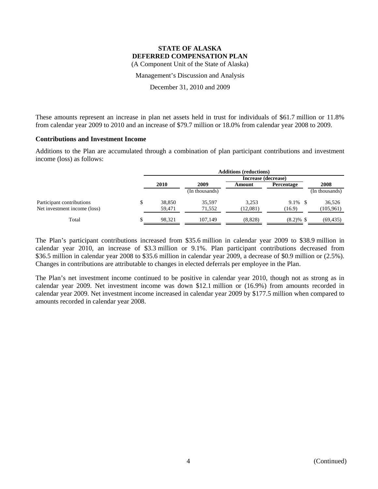Management's Discussion and Analysis

December 31, 2010 and 2009

These amounts represent an increase in plan net assets held in trust for individuals of \$61.7 million or 11.8% from calendar year 2009 to 2010 and an increase of \$79.7 million or 18.0% from calendar year 2008 to 2009.

#### **Contributions and Investment Income**

Additions to the Plan are accumulated through a combination of plan participant contributions and investment income (loss) as follows:

|                              | <b>Additions (reductions)</b> |                |                     |                   |                |
|------------------------------|-------------------------------|----------------|---------------------|-------------------|----------------|
|                              |                               |                | Increase (decrease) |                   |                |
|                              | 2010                          | 2009           | Amount              | <b>Percentage</b> | 2008           |
|                              |                               | (In thousands) |                     |                   | (In thousands) |
| Participant contributions    | 38,850                        | 35,597         | 3.253               | 9.1%<br>- \$      | 36,526         |
| Net investment income (loss) | 59,471                        | 71,552         | (12,081)            | (16.9)            | (105, 961)     |
| Total                        | 98.321                        | 107.149        | (8,828)             | $(8.2)\%$ \$      | (69, 435)      |

The Plan's participant contributions increased from \$35.6 million in calendar year 2009 to \$38.9 million in calendar year 2010, an increase of \$3.3 million or 9.1%. Plan participant contributions decreased from \$36.5 million in calendar year 2008 to \$35.6 million in calendar year 2009, a decrease of \$0.9 million or (2.5%). Changes in contributions are attributable to changes in elected deferrals per employee in the Plan.

The Plan's net investment income continued to be positive in calendar year 2010, though not as strong as in calendar year 2009. Net investment income was down \$12.1 million or (16.9%) from amounts recorded in calendar year 2009. Net investment income increased in calendar year 2009 by \$177.5 million when compared to amounts recorded in calendar year 2008.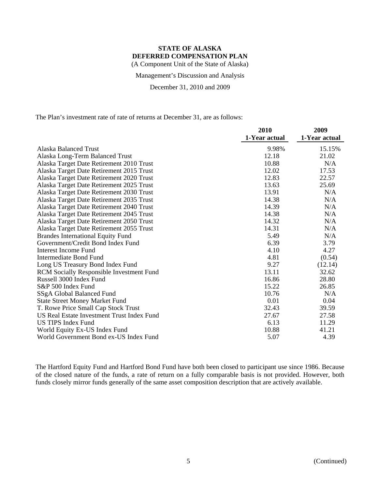Management's Discussion and Analysis

December 31, 2010 and 2009

The Plan's investment rate of rate of returns at December 31, are as follows:

|                                                 | 2010          | 2009          |
|-------------------------------------------------|---------------|---------------|
|                                                 | 1-Year actual | 1-Year actual |
| Alaska Balanced Trust                           | 9.98%         | 15.15%        |
| Alaska Long-Term Balanced Trust                 | 12.18         | 21.02         |
| Alaska Target Date Retirement 2010 Trust        | 10.88         | N/A           |
| Alaska Target Date Retirement 2015 Trust        | 12.02         | 17.53         |
| Alaska Target Date Retirement 2020 Trust        | 12.83         | 22.57         |
| Alaska Target Date Retirement 2025 Trust        | 13.63         | 25.69         |
| Alaska Target Date Retirement 2030 Trust        | 13.91         | N/A           |
| Alaska Target Date Retirement 2035 Trust        | 14.38         | N/A           |
| Alaska Target Date Retirement 2040 Trust        | 14.39         | N/A           |
| Alaska Target Date Retirement 2045 Trust        | 14.38         | N/A           |
| Alaska Target Date Retirement 2050 Trust        | 14.32         | N/A           |
| Alaska Target Date Retirement 2055 Trust        | 14.31         | N/A           |
| <b>Brandes International Equity Fund</b>        | 5.49          | N/A           |
| Government/Credit Bond Index Fund               | 6.39          | 3.79          |
| Interest Income Fund                            | 4.10          | 4.27          |
| Intermediate Bond Fund                          | 4.81          | (0.54)        |
| Long US Treasury Bond Index Fund                | 9.27          | (12.14)       |
| <b>RCM</b> Socially Responsible Investment Fund | 13.11         | 32.62         |
| Russell 3000 Index Fund                         | 16.86         | 28.80         |
| S&P 500 Index Fund                              | 15.22         | 26.85         |
| SSgA Global Balanced Fund                       | 10.76         | N/A           |
| <b>State Street Money Market Fund</b>           | 0.01          | 0.04          |
| T. Rowe Price Small Cap Stock Trust             | 32.43         | 39.59         |
| US Real Estate Investment Trust Index Fund      | 27.67         | 27.58         |
| <b>US TIPS Index Fund</b>                       | 6.13          | 11.29         |
| World Equity Ex-US Index Fund                   | 10.88         | 41.21         |
| World Government Bond ex-US Index Fund          | 5.07          | 4.39          |

The Hartford Equity Fund and Hartford Bond Fund have both been closed to participant use since 1986. Because of the closed nature of the funds, a rate of return on a fully comparable basis is not provided. However, both funds closely mirror funds generally of the same asset composition description that are actively available.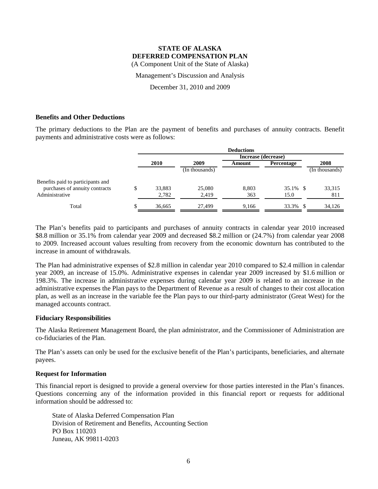Management's Discussion and Analysis

December 31, 2010 and 2009

#### **Benefits and Other Deductions**

The primary deductions to the Plan are the payment of benefits and purchases of annuity contracts. Benefit payments and administrative costs were as follows:

|                                   | <b>Deductions</b> |                |                     |            |                |
|-----------------------------------|-------------------|----------------|---------------------|------------|----------------|
|                                   |                   |                | Increase (decrease) |            |                |
|                                   | 2010              | 2009           | Amount              | Percentage | 2008           |
|                                   |                   | (In thousands) |                     |            | (In thousands) |
| Benefits paid to participants and |                   |                |                     |            |                |
| purchases of annuity contracts    | 33,883            | 25,080         | 8,803               | 35.1% \$   | 33,315         |
| Administrative                    | 2,782             | 2.419          | 363                 | 15.0       | 811            |
| Total                             | 36,665            | 27.499         | 9.166               | 33.3% \$   | 34,126         |

The Plan's benefits paid to participants and purchases of annuity contracts in calendar year 2010 increased \$8.8 million or 35.1% from calendar year 2009 and decreased \$8.2 million or (24.7%) from calendar year 2008 to 2009. Increased account values resulting from recovery from the economic downturn has contributed to the increase in amount of withdrawals.

The Plan had administrative expenses of \$2.8 million in calendar year 2010 compared to \$2.4 million in calendar year 2009, an increase of 15.0%. Administrative expenses in calendar year 2009 increased by \$1.6 million or 198.3%. The increase in administrative expenses during calendar year 2009 is related to an increase in the administrative expenses the Plan pays to the Department of Revenue as a result of changes to their cost allocation plan, as well as an increase in the variable fee the Plan pays to our third-party administrator (Great West) for the managed accounts contract.

#### **Fiduciary Responsibilities**

The Alaska Retirement Management Board, the plan administrator, and the Commissioner of Administration are co-fiduciaries of the Plan.

The Plan's assets can only be used for the exclusive benefit of the Plan's participants, beneficiaries, and alternate payees.

#### **Request for Information**

This financial report is designed to provide a general overview for those parties interested in the Plan's finances. Questions concerning any of the information provided in this financial report or requests for additional information should be addressed to:

State of Alaska Deferred Compensation Plan Division of Retirement and Benefits, Accounting Section PO Box 110203 Juneau, AK 99811-0203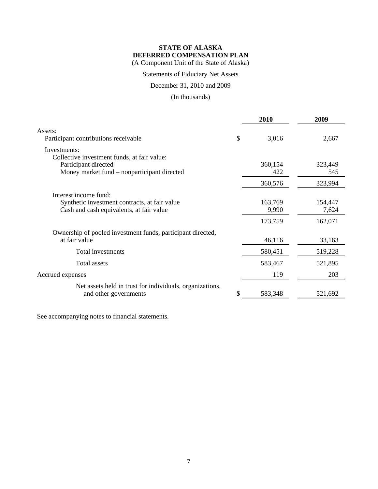Statements of Fiduciary Net Assets

December 31, 2010 and 2009

(In thousands)

|                                                                                                                    |    | 2010                        | 2009                        |
|--------------------------------------------------------------------------------------------------------------------|----|-----------------------------|-----------------------------|
| Assets:<br>Participant contributions receivable                                                                    | \$ | 3,016                       | 2,667                       |
| Investments:<br>Collective investment funds, at fair value:<br>Participant directed                                |    | 360,154                     | 323,449                     |
| Money market fund – nonparticipant directed                                                                        |    | 422                         | 545                         |
|                                                                                                                    |    | 360,576                     | 323,994                     |
| Interest income fund:<br>Synthetic investment contracts, at fair value<br>Cash and cash equivalents, at fair value |    | 163,769<br>9,990<br>173,759 | 154,447<br>7,624<br>162,071 |
| Ownership of pooled investment funds, participant directed,<br>at fair value                                       |    | 46,116                      | 33,163                      |
| Total investments                                                                                                  |    | 580,451                     | 519,228                     |
| Total assets                                                                                                       |    | 583,467                     | 521,895                     |
| Accrued expenses                                                                                                   |    | 119                         | 203                         |
| Net assets held in trust for individuals, organizations,<br>and other governments                                  | S  | 583,348                     | 521,692                     |

See accompanying notes to financial statements.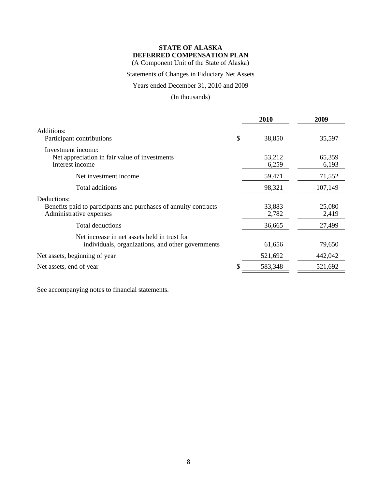(A Component Unit of the State of Alaska)

## Statements of Changes in Fiduciary Net Assets

## Years ended December 31, 2010 and 2009

(In thousands)

|                                                                                                            | 2010            | 2009            |
|------------------------------------------------------------------------------------------------------------|-----------------|-----------------|
| Additions:<br>Participant contributions                                                                    | \$<br>38,850    | 35,597          |
| Investment income:<br>Net appreciation in fair value of investments<br>Interest income                     | 53,212<br>6,259 | 65,359<br>6,193 |
| Net investment income                                                                                      | 59,471          | 71,552          |
| Total additions                                                                                            | 98,321          | 107,149         |
| Deductions:<br>Benefits paid to participants and purchases of annuity contracts<br>Administrative expenses | 33,883<br>2,782 | 25,080<br>2,419 |
| Total deductions                                                                                           | 36,665          | 27,499          |
| Net increase in net assets held in trust for<br>individuals, organizations, and other governments          | 61,656          | 79,650          |
| Net assets, beginning of year                                                                              | 521,692         | 442,042         |
| Net assets, end of year                                                                                    | 583,348         | 521,692         |

See accompanying notes to financial statements.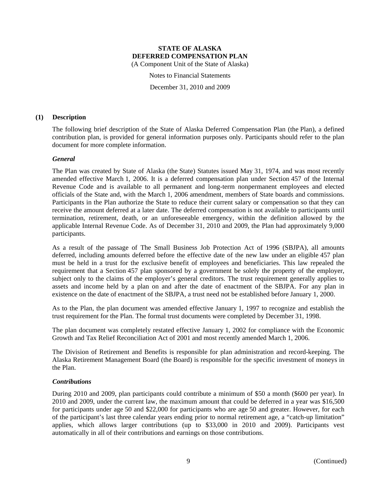Notes to Financial Statements

December 31, 2010 and 2009

#### **(1) Description**

The following brief description of the State of Alaska Deferred Compensation Plan (the Plan), a defined contribution plan, is provided for general information purposes only. Participants should refer to the plan document for more complete information.

#### *General*

The Plan was created by State of Alaska (the State) Statutes issued May 31, 1974, and was most recently amended effective March 1, 2006. It is a deferred compensation plan under Section 457 of the Internal Revenue Code and is available to all permanent and long-term nonpermanent employees and elected officials of the State and, with the March 1, 2006 amendment, members of State boards and commissions. Participants in the Plan authorize the State to reduce their current salary or compensation so that they can receive the amount deferred at a later date. The deferred compensation is not available to participants until termination, retirement, death, or an unforeseeable emergency, within the definition allowed by the applicable Internal Revenue Code. As of December 31, 2010 and 2009, the Plan had approximately 9,000 participants.

As a result of the passage of The Small Business Job Protection Act of 1996 (SBJPA), all amounts deferred, including amounts deferred before the effective date of the new law under an eligible 457 plan must be held in a trust for the exclusive benefit of employees and beneficiaries. This law repealed the requirement that a Section 457 plan sponsored by a government be solely the property of the employer, subject only to the claims of the employer's general creditors. The trust requirement generally applies to assets and income held by a plan on and after the date of enactment of the SBJPA. For any plan in existence on the date of enactment of the SBJPA, a trust need not be established before January 1, 2000.

As to the Plan, the plan document was amended effective January 1, 1997 to recognize and establish the trust requirement for the Plan. The formal trust documents were completed by December 31, 1998.

The plan document was completely restated effective January 1, 2002 for compliance with the Economic Growth and Tax Relief Reconciliation Act of 2001 and most recently amended March 1, 2006.

The Division of Retirement and Benefits is responsible for plan administration and record-keeping. The Alaska Retirement Management Board (the Board) is responsible for the specific investment of moneys in the Plan.

#### *Contributions*

During 2010 and 2009, plan participants could contribute a minimum of \$50 a month (\$600 per year). In 2010 and 2009, under the current law, the maximum amount that could be deferred in a year was \$16,500 for participants under age 50 and \$22,000 for participants who are age 50 and greater. However, for each of the participant's last three calendar years ending prior to normal retirement age, a "catch-up limitation" applies, which allows larger contributions (up to \$33,000 in 2010 and 2009). Participants vest automatically in all of their contributions and earnings on those contributions.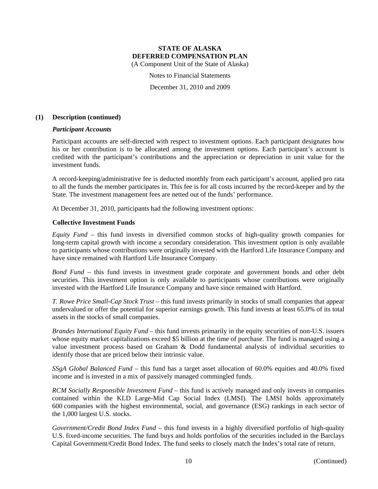(A Component Unit of the State of Alaska)

Notes to Financial Statements

December 31, 2010 and 2009

#### **(1) Description (continued)**

#### *Participant Accounts*

Participant accounts are self-directed with respect to investment options. Each participant designates how his or her contribution is to be allocated among the investment options. Each participant's account is credited with the participant's contributions and the appreciation or depreciation in unit value for the investment funds.

A record-keeping/administrative fee is deducted monthly from each participant's account, applied pro rata to all the funds the member participates in. This fee is for all costs incurred by the record-keeper and by the State. The investment management fees are netted out of the funds' performance.

At December 31, 2010, participants had the following investment options:

## **Collective Investment Funds**

*Equity Fund* – this fund invests in diversified common stocks of high-quality growth companies for long-term capital growth with income a secondary consideration. This investment option is only available to participants whose contributions were originally invested with the Hartford Life Insurance Company and have since remained with Hartford Life Insurance Company.

*Bond Fund* – this fund invests in investment grade corporate and government bonds and other debt securities. This investment option is only available to participants whose contributions were originally invested with the Hartford Life Insurance Company and have since remained with Hartford.

*T. Rowe Price Small-Cap Stock Trust* – this fund invests primarily in stocks of small companies that appear undervalued or offer the potential for superior earnings growth. This fund invests at least 65.0% of its total assets in the stocks of small companies.

*Brandes International Equity Fund* – this fund invests primarily in the equity securities of non-U.S. issuers whose equity market capitalizations exceed \$5 billion at the time of purchase. The fund is managed using a value investment process based on Graham & Dodd fundamental analysis of individual securities to identify those that are priced below their intrinsic value.

*SSgA Global Balanced Fund* – this fund has a target asset allocation of 60.0% equities and 40.0% fixed income and is invested in a mix of passively managed commingled funds.

*RCM Socially Responsible Investment Fund* – this fund is actively managed and only invests in companies contained within the KLD Large-Mid Cap Social Index (LMSI). The LMSI holds approximately 600 companies with the highest environmental, social, and governance (ESG) rankings in each sector of the 1,000 largest U.S. stocks.

*Government/Credit Bond Index Fund* – this fund invests in a highly diversified portfolio of high-quality U.S. fixed-income securities. The fund buys and holds portfolios of the securities included in the Barclays Capital Government/Credit Bond Index. The fund seeks to closely match the Index's total rate of return.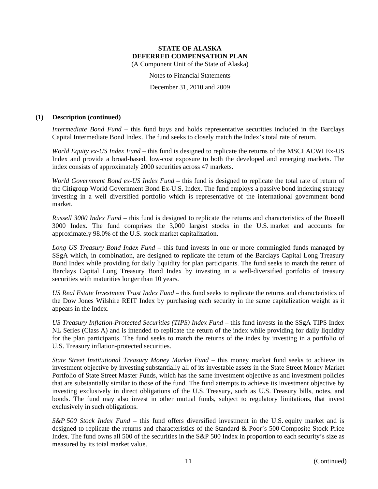(A Component Unit of the State of Alaska)

Notes to Financial Statements

December 31, 2010 and 2009

#### **(1) Description (continued)**

*Intermediate Bond Fund* – this fund buys and holds representative securities included in the Barclays Capital Intermediate Bond Index. The fund seeks to closely match the Index's total rate of return.

*World Equity ex-US Index Fund* – this fund is designed to replicate the returns of the MSCI ACWI Ex-US Index and provide a broad-based, low-cost exposure to both the developed and emerging markets. The index consists of approximately 2000 securities across 47 markets.

*World Government Bond ex-US Index Fund* – this fund is designed to replicate the total rate of return of the Citigroup World Government Bond Ex-U.S. Index. The fund employs a passive bond indexing strategy investing in a well diversified portfolio which is representative of the international government bond market.

*Russell 3000 Index Fund* – this fund is designed to replicate the returns and characteristics of the Russell 3000 Index. The fund comprises the 3,000 largest stocks in the U.S. market and accounts for approximately 98.0% of the U.S. stock market capitalization.

*Long US Treasury Bond Index Fund* – this fund invests in one or more commingled funds managed by SSgA which, in combination, are designed to replicate the return of the Barclays Capital Long Treasury Bond Index while providing for daily liquidity for plan participants. The fund seeks to match the return of Barclays Capital Long Treasury Bond Index by investing in a well-diversified portfolio of treasury securities with maturities longer than 10 years.

*US Real Estate Investment Trust Index Fund* – this fund seeks to replicate the returns and characteristics of the Dow Jones Wilshire REIT Index by purchasing each security in the same capitalization weight as it appears in the Index.

*US Treasury Inflation-Protected Securities (TIPS) Index Fund* – this fund invests in the SSgA TIPS Index NL Series (Class A) and is intended to replicate the return of the index while providing for daily liquidity for the plan participants. The fund seeks to match the returns of the index by investing in a portfolio of U.S. Treasury inflation-protected securities.

*State Street Institutional Treasury Money Market Fund* – this money market fund seeks to achieve its investment objective by investing substantially all of its investable assets in the State Street Money Market Portfolio of State Street Master Funds, which has the same investment objective as and investment policies that are substantially similar to those of the fund. The fund attempts to achieve its investment objective by investing exclusively in direct obligations of the U.S. Treasury, such as U.S. Treasury bills, notes, and bonds. The fund may also invest in other mutual funds, subject to regulatory limitations, that invest exclusively in such obligations.

*S&P 500 Stock Index Fund* – this fund offers diversified investment in the U.S. equity market and is designed to replicate the returns and characteristics of the Standard & Poor's 500 Composite Stock Price Index. The fund owns all 500 of the securities in the S&P 500 Index in proportion to each security's size as measured by its total market value.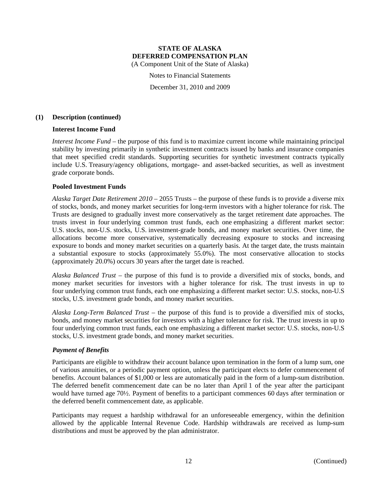Notes to Financial Statements

December 31, 2010 and 2009

### **(1) Description (continued)**

#### **Interest Income Fund**

*Interest Income Fund* – the purpose of this fund is to maximize current income while maintaining principal stability by investing primarily in synthetic investment contracts issued by banks and insurance companies that meet specified credit standards. Supporting securities for synthetic investment contracts typically include U.S. Treasury/agency obligations, mortgage- and asset-backed securities, as well as investment grade corporate bonds.

## **Pooled Investment Funds**

*Alaska Target Date Retirement 2010* – 2055 Trusts – the purpose of these funds is to provide a diverse mix of stocks, bonds, and money market securities for long-term investors with a higher tolerance for risk. The Trusts are designed to gradually invest more conservatively as the target retirement date approaches. The trusts invest in four underlying common trust funds, each one emphasizing a different market sector: U.S. stocks, non-U.S. stocks, U.S. investment-grade bonds, and money market securities. Over time, the allocations become more conservative, systematically decreasing exposure to stocks and increasing exposure to bonds and money market securities on a quarterly basis. At the target date, the trusts maintain a substantial exposure to stocks (approximately 55.0%). The most conservative allocation to stocks (approximately 20.0%) occurs 30 years after the target date is reached.

*Alaska Balanced Trust* – the purpose of this fund is to provide a diversified mix of stocks, bonds, and money market securities for investors with a higher tolerance for risk. The trust invests in up to four underlying common trust funds, each one emphasizing a different market sector: U.S. stocks, non-U.S stocks, U.S. investment grade bonds, and money market securities.

*Alaska Long-Term Balanced Trust* – the purpose of this fund is to provide a diversified mix of stocks, bonds, and money market securities for investors with a higher tolerance for risk. The trust invests in up to four underlying common trust funds, each one emphasizing a different market sector: U.S. stocks, non-U.S stocks, U.S. investment grade bonds, and money market securities.

## *Payment of Benefits*

Participants are eligible to withdraw their account balance upon termination in the form of a lump sum, one of various annuities, or a periodic payment option, unless the participant elects to defer commencement of benefits. Account balances of \$1,000 or less are automatically paid in the form of a lump-sum distribution. The deferred benefit commencement date can be no later than April 1 of the year after the participant would have turned age 70½. Payment of benefits to a participant commences 60 days after termination or the deferred benefit commencement date, as applicable.

Participants may request a hardship withdrawal for an unforeseeable emergency, within the definition allowed by the applicable Internal Revenue Code. Hardship withdrawals are received as lump-sum distributions and must be approved by the plan administrator.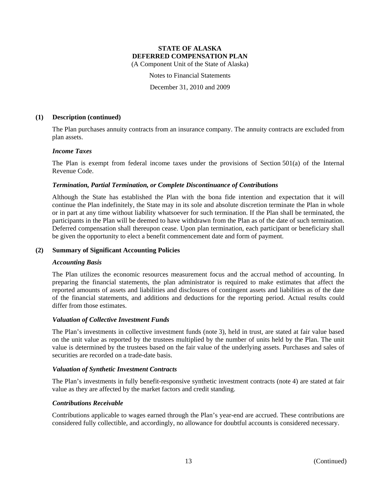(A Component Unit of the State of Alaska)

Notes to Financial Statements

December 31, 2010 and 2009

#### **(1) Description (continued)**

The Plan purchases annuity contracts from an insurance company. The annuity contracts are excluded from plan assets.

#### *Income Taxes*

The Plan is exempt from federal income taxes under the provisions of Section 501(a) of the Internal Revenue Code.

#### *Termination, Partial Termination, or Complete Discontinuance of Contributions*

Although the State has established the Plan with the bona fide intention and expectation that it will continue the Plan indefinitely, the State may in its sole and absolute discretion terminate the Plan in whole or in part at any time without liability whatsoever for such termination. If the Plan shall be terminated, the participants in the Plan will be deemed to have withdrawn from the Plan as of the date of such termination. Deferred compensation shall thereupon cease. Upon plan termination, each participant or beneficiary shall be given the opportunity to elect a benefit commencement date and form of payment.

#### **(2) Summary of Significant Accounting Policies**

#### *Accounting Basis*

The Plan utilizes the economic resources measurement focus and the accrual method of accounting. In preparing the financial statements, the plan administrator is required to make estimates that affect the reported amounts of assets and liabilities and disclosures of contingent assets and liabilities as of the date of the financial statements, and additions and deductions for the reporting period. Actual results could differ from those estimates.

#### *Valuation of Collective Investment Funds*

The Plan's investments in collective investment funds (note 3), held in trust, are stated at fair value based on the unit value as reported by the trustees multiplied by the number of units held by the Plan. The unit value is determined by the trustees based on the fair value of the underlying assets. Purchases and sales of securities are recorded on a trade-date basis.

#### *Valuation of Synthetic Investment Contracts*

The Plan's investments in fully benefit-responsive synthetic investment contracts (note 4) are stated at fair value as they are affected by the market factors and credit standing.

#### *Contributions Receivable*

Contributions applicable to wages earned through the Plan's year-end are accrued. These contributions are considered fully collectible, and accordingly, no allowance for doubtful accounts is considered necessary.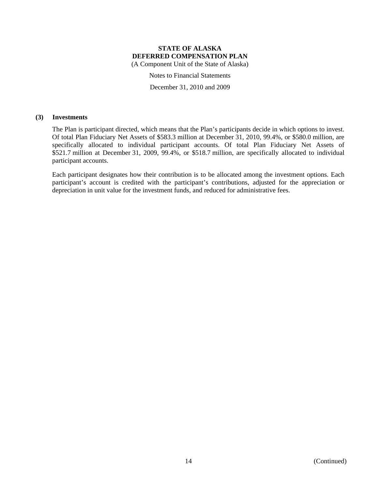Notes to Financial Statements

December 31, 2010 and 2009

#### **(3) Investments**

The Plan is participant directed, which means that the Plan's participants decide in which options to invest. Of total Plan Fiduciary Net Assets of \$583.3 million at December 31, 2010, 99.4%, or \$580.0 million, are specifically allocated to individual participant accounts. Of total Plan Fiduciary Net Assets of \$521.7 million at December 31, 2009, 99.4%, or \$518.7 million, are specifically allocated to individual participant accounts.

Each participant designates how their contribution is to be allocated among the investment options. Each participant's account is credited with the participant's contributions, adjusted for the appreciation or depreciation in unit value for the investment funds, and reduced for administrative fees.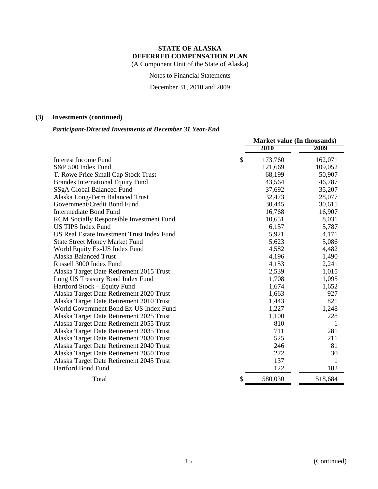(A Component Unit of the State of Alaska)

Notes to Financial Statements

December 31, 2010 and 2009

## **(3) Investments (continued)**

## *Participant-Directed Investments at December 31 Year-End*

|                                                 | Market value (In thousands) |         |
|-------------------------------------------------|-----------------------------|---------|
|                                                 | 2010                        | 2009    |
| Interest Income Fund                            | \$<br>173,760               | 162,071 |
| S&P 500 Index Fund                              | 121,669                     | 109,052 |
| T. Rowe Price Small Cap Stock Trust             | 68,199                      | 50,907  |
| <b>Brandes International Equity Fund</b>        | 43,564                      | 46,787  |
| SSgA Global Balanced Fund                       | 37,692                      | 35,207  |
| Alaska Long-Term Balanced Trust                 | 32,473                      | 28,077  |
| Government/Credit Bond Fund                     | 30,445                      | 30,615  |
| <b>Intermediate Bond Fund</b>                   | 16,768                      | 16,907  |
| <b>RCM</b> Socially Responsible Investment Fund | 10,651                      | 8,031   |
| <b>US TIPS Index Fund</b>                       | 6,157                       | 5,787   |
| US Real Estate Investment Trust Index Fund      | 5,921                       | 4,171   |
| <b>State Street Money Market Fund</b>           | 5,623                       | 5,086   |
| World Equity Ex-US Index Fund                   | 4,582                       | 4,482   |
| <b>Alaska Balanced Trust</b>                    | 4,196                       | 1,490   |
| Russell 3000 Index Fund                         | 4,153                       | 2,241   |
| Alaska Target Date Retirement 2015 Trust        | 2,539                       | 1,015   |
| Long US Treasury Bond Index Fund                | 1,708                       | 1,095   |
| Hartford Stock – Equity Fund                    | 1,674                       | 1,652   |
| Alaska Target Date Retirement 2020 Trust        | 1,663                       | 927     |
| Alaska Target Date Retirement 2010 Trust        | 1,443                       | 821     |
| World Government Bond Ex-US Index Fund          | 1,227                       | 1,248   |
| Alaska Target Date Retirement 2025 Trust        | 1,100                       | 228     |
| Alaska Target Date Retirement 2055 Trust        | 810                         | 1       |
| Alaska Target Date Retirement 2035 Trust        | 711                         | 281     |
| Alaska Target Date Retirement 2030 Trust        | 525                         | 211     |
| Alaska Target Date Retirement 2040 Trust        | 246                         | 81      |
| Alaska Target Date Retirement 2050 Trust        | 272                         | 30      |
| Alaska Target Date Retirement 2045 Trust        | 137                         | 1       |
| <b>Hartford Bond Fund</b>                       | 122                         | 182     |
| Total                                           | \$<br>580,030               | 518,684 |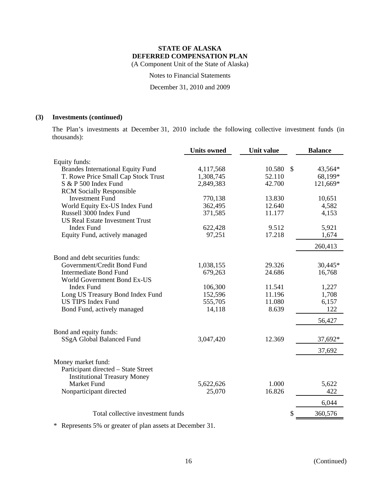Notes to Financial Statements

December 31, 2010 and 2009

### **(3) Investments (continued)**

The Plan's investments at December 31, 2010 include the following collective investment funds (in thousands):

|                                          | <b>Units owned</b> | Unit value |               | <b>Balance</b> |
|------------------------------------------|--------------------|------------|---------------|----------------|
| Equity funds:                            |                    |            |               |                |
| <b>Brandes International Equity Fund</b> | 4,117,568          | 10.580     | <sup>\$</sup> | 43,564*        |
| T. Rowe Price Small Cap Stock Trust      | 1,308,745          | 52.110     |               | 68,199*        |
| S & P 500 Index Fund                     | 2,849,383          | 42.700     |               | 121,669*       |
| <b>RCM Socially Responsible</b>          |                    |            |               |                |
| <b>Investment Fund</b>                   | 770,138            | 13.830     |               | 10,651         |
| World Equity Ex-US Index Fund            | 362,495            | 12.640     |               | 4,582          |
| Russell 3000 Index Fund                  | 371,585            | 11.177     |               | 4,153          |
| <b>US Real Estate Investment Trust</b>   |                    |            |               |                |
| <b>Index Fund</b>                        | 622,428            | 9.512      |               | 5,921          |
| Equity Fund, actively managed            | 97,251             | 17.218     |               | 1,674          |
|                                          |                    |            |               | 260,413        |
| Bond and debt securities funds:          |                    |            |               |                |
| Government/Credit Bond Fund              | 1,038,155          | 29.326     |               | 30,445*        |
| <b>Intermediate Bond Fund</b>            | 679,263            | 24.686     |               | 16,768         |
| World Government Bond Ex-US              |                    |            |               |                |
| <b>Index Fund</b>                        | 106,300            | 11.541     |               | 1,227          |
| Long US Treasury Bond Index Fund         | 152,596            | 11.196     |               | 1,708          |
| <b>US TIPS Index Fund</b>                | 555,705            | 11.080     |               | 6,157          |
| Bond Fund, actively managed              | 14,118             | 8.639      |               | 122            |
|                                          |                    |            |               | 56,427         |
| Bond and equity funds:                   |                    |            |               |                |
| SSgA Global Balanced Fund                | 3,047,420          | 12.369     |               | 37,692*        |
|                                          |                    |            |               | 37,692         |
| Money market fund:                       |                    |            |               |                |
| Participant directed - State Street      |                    |            |               |                |
| <b>Institutional Treasury Money</b>      |                    |            |               |                |
| <b>Market Fund</b>                       | 5,622,626          | 1.000      |               | 5,622          |
| Nonparticipant directed                  | 25,070             | 16.826     |               | 422            |
|                                          |                    |            |               | 6,044          |
| Total collective investment funds        |                    |            | S             | 360,576        |
|                                          |                    |            |               |                |

\* Represents 5% or greater of plan assets at December 31.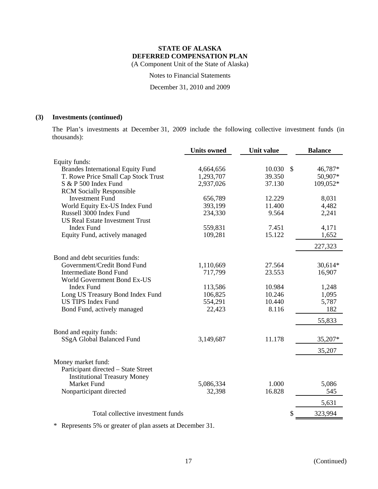Notes to Financial Statements

December 31, 2010 and 2009

## **(3) Investments (continued)**

The Plan's investments at December 31, 2009 include the following collective investment funds (in thousands):

|                                          | <b>Units owned</b> | <b>Unit value</b> |               | <b>Balance</b> |
|------------------------------------------|--------------------|-------------------|---------------|----------------|
| Equity funds:                            |                    |                   |               |                |
| <b>Brandes International Equity Fund</b> | 4,664,656          | 10.030            | $\mathcal{S}$ | 46,787*        |
| T. Rowe Price Small Cap Stock Trust      | 1,293,707          | 39.350            |               | 50,907*        |
| S & P 500 Index Fund                     | 2,937,026          | 37.130            |               | 109,052*       |
| <b>RCM Socially Responsible</b>          |                    |                   |               |                |
| <b>Investment Fund</b>                   | 656,789            | 12.229            |               | 8,031          |
| World Equity Ex-US Index Fund            | 393,199            | 11.400            |               | 4,482          |
| Russell 3000 Index Fund                  | 234,330            | 9.564             |               | 2,241          |
| <b>US Real Estate Investment Trust</b>   |                    |                   |               |                |
| <b>Index Fund</b>                        | 559,831            | 7.451             |               | 4,171          |
| Equity Fund, actively managed            | 109,281            | 15.122            |               | 1,652          |
|                                          |                    |                   |               | 227,323        |
| Bond and debt securities funds:          |                    |                   |               |                |
| Government/Credit Bond Fund              | 1,110,669          | 27.564            |               | 30,614*        |
| <b>Intermediate Bond Fund</b>            | 717,799            | 23.553            |               | 16,907         |
| World Government Bond Ex-US              |                    |                   |               |                |
| <b>Index Fund</b>                        | 113,586            | 10.984            |               | 1,248          |
| Long US Treasury Bond Index Fund         | 106,825            | 10.246            |               | 1,095          |
| <b>US TIPS Index Fund</b>                | 554,291            | 10.440            |               | 5,787          |
| Bond Fund, actively managed              | 22,423             | 8.116             |               | 182            |
|                                          |                    |                   |               | 55,833         |
| Bond and equity funds:                   |                    |                   |               |                |
| SSgA Global Balanced Fund                | 3,149,687          | 11.178            |               | 35,207*        |
|                                          |                    |                   |               | 35,207         |
| Money market fund:                       |                    |                   |               |                |
| Participant directed - State Street      |                    |                   |               |                |
| <b>Institutional Treasury Money</b>      |                    |                   |               |                |
| <b>Market Fund</b>                       | 5,086,334          | 1.000             |               | 5,086          |
| Nonparticipant directed                  | 32,398             | 16.828            |               | 545            |
|                                          |                    |                   |               | 5,631          |
| Total collective investment funds        |                    |                   | \$            | 323,994        |
|                                          |                    |                   |               |                |

\* Represents 5% or greater of plan assets at December 31.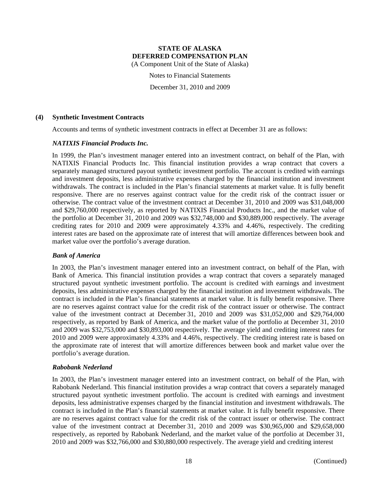(A Component Unit of the State of Alaska)

Notes to Financial Statements

December 31, 2010 and 2009

#### **(4) Synthetic Investment Contracts**

Accounts and terms of synthetic investment contracts in effect at December 31 are as follows:

#### *NATIXIS Financial Products Inc.*

In 1999, the Plan's investment manager entered into an investment contract, on behalf of the Plan, with NATIXIS Financial Products Inc. This financial institution provides a wrap contract that covers a separately managed structured payout synthetic investment portfolio. The account is credited with earnings and investment deposits, less administrative expenses charged by the financial institution and investment withdrawals. The contract is included in the Plan's financial statements at market value. It is fully benefit responsive. There are no reserves against contract value for the credit risk of the contract issuer or otherwise. The contract value of the investment contract at December 31, 2010 and 2009 was \$31,048,000 and \$29,760,000 respectively, as reported by NATIXIS Financial Products Inc., and the market value of the portfolio at December 31, 2010 and 2009 was \$32,748,000 and \$30,889,000 respectively. The average crediting rates for 2010 and 2009 were approximately 4.33% and 4.46%, respectively. The crediting interest rates are based on the approximate rate of interest that will amortize differences between book and market value over the portfolio's average duration.

## *Bank of America*

In 2003, the Plan's investment manager entered into an investment contract, on behalf of the Plan, with Bank of America. This financial institution provides a wrap contract that covers a separately managed structured payout synthetic investment portfolio. The account is credited with earnings and investment deposits, less administrative expenses charged by the financial institution and investment withdrawals. The contract is included in the Plan's financial statements at market value. It is fully benefit responsive. There are no reserves against contract value for the credit risk of the contract issuer or otherwise. The contract value of the investment contract at December 31, 2010 and 2009 was \$31,052,000 and \$29,764,000 respectively, as reported by Bank of America, and the market value of the portfolio at December 31, 2010 and 2009 was \$32,753,000 and \$30,893,000 respectively. The average yield and crediting interest rates for 2010 and 2009 were approximately 4.33% and 4.46%, respectively. The crediting interest rate is based on the approximate rate of interest that will amortize differences between book and market value over the portfolio's average duration.

## *Rabobank Nederland*

In 2003, the Plan's investment manager entered into an investment contract, on behalf of the Plan, with Rabobank Nederland. This financial institution provides a wrap contract that covers a separately managed structured payout synthetic investment portfolio. The account is credited with earnings and investment deposits, less administrative expenses charged by the financial institution and investment withdrawals. The contract is included in the Plan's financial statements at market value. It is fully benefit responsive. There are no reserves against contract value for the credit risk of the contract issuer or otherwise. The contract value of the investment contract at December 31, 2010 and 2009 was \$30,965,000 and \$29,658,000 respectively, as reported by Rabobank Nederland, and the market value of the portfolio at December 31, 2010 and 2009 was \$32,766,000 and \$30,880,000 respectively. The average yield and crediting interest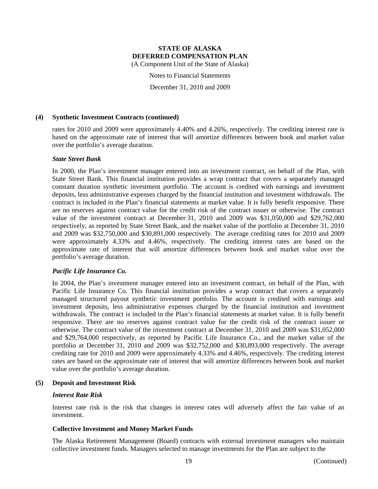(A Component Unit of the State of Alaska)

Notes to Financial Statements

December 31, 2010 and 2009

#### **(4) Synthetic Investment Contracts (continued)**

rates for 2010 and 2009 were approximately 4.40% and 4.26%, respectively. The crediting interest rate is based on the approximate rate of interest that will amortize differences between book and market value over the portfolio's average duration.

#### *State Street Bank*

In 2000, the Plan's investment manager entered into an investment contract, on behalf of the Plan, with State Street Bank. This financial institution provides a wrap contract that covers a separately managed constant duration synthetic investment portfolio. The account is credited with earnings and investment deposits, less administrative expenses charged by the financial institution and investment withdrawals. The contract is included in the Plan's financial statements at market value. It is fully benefit responsive. There are no reserves against contract value for the credit risk of the contract issuer or otherwise. The contract value of the investment contract at December 31, 2010 and 2009 was \$31,050,000 and \$29,762,000 respectively, as reported by State Street Bank, and the market value of the portfolio at December 31, 2010 and 2009 was \$32,750,000 and \$30,891,000 respectively. The average crediting rates for 2010 and 2009 were approximately 4.33% and 4.46%, respectively. The crediting interest rates are based on the approximate rate of interest that will amortize differences between book and market value over the portfolio's average duration.

## *Pacific Life Insurance Co.*

In 2004, the Plan's investment manager entered into an investment contract, on behalf of the Plan, with Pacific Life Insurance Co. This financial institution provides a wrap contract that covers a separately managed structured payout synthetic investment portfolio. The account is credited with earnings and investment deposits, less administrative expenses charged by the financial institution and investment withdrawals. The contract is included in the Plan's financial statements at market value. It is fully benefit responsive. There are no reserves against contract value for the credit risk of the contract issuer or otherwise. The contract value of the investment contract at December 31, 2010 and 2009 was \$31,052,000 and \$29,764,000 respectively, as reported by Pacific Life Insurance Co., and the market value of the portfolio at December 31, 2010 and 2009 was \$32,752,000 and \$30,893,000 respectively. The average crediting rate for 2010 and 2009 were approximately 4.33% and 4.46%, respectively. The crediting interest rates are based on the approximate rate of interest that will amortize differences between book and market value over the portfolio's average duration.

#### **(5) Deposit and Investment Risk**

#### *Interest Rate Risk*

Interest rate risk is the risk that changes in interest rates will adversely affect the fair value of an investment.

#### **Collective Investment and Money Market Funds**

The Alaska Retirement Management (Board) contracts with external investment managers who maintain collective investment funds. Managers selected to manage investments for the Plan are subject to the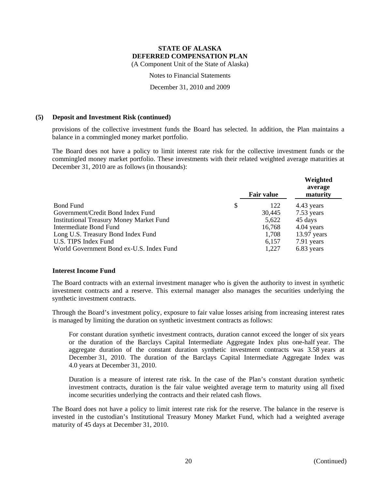(A Component Unit of the State of Alaska)

Notes to Financial Statements

December 31, 2010 and 2009

#### **(5) Deposit and Investment Risk (continued)**

provisions of the collective investment funds the Board has selected. In addition, the Plan maintains a balance in a commingled money market portfolio.

The Board does not have a policy to limit interest rate risk for the collective investment funds or the commingled money market portfolio. These investments with their related weighted average maturities at December 31, 2010 are as follows (in thousands):

|                                                 | <b>Fair value</b> | Weighted<br>average<br>maturity |
|-------------------------------------------------|-------------------|---------------------------------|
| <b>Bond Fund</b><br>\$                          | 122               | 4.43 years                      |
| Government/Credit Bond Index Fund               | 30,445            | 7.53 years                      |
| <b>Institutional Treasury Money Market Fund</b> | 5,622             | 45 days                         |
| Intermediate Bond Fund                          | 16,768            | 4.04 years                      |
| Long U.S. Treasury Bond Index Fund              | 1,708             | $13.97$ years                   |
| U.S. TIPS Index Fund                            | 6,157             | 7.91 years                      |
| World Government Bond ex-U.S. Index Fund        | 1,227             | 6.83 years                      |

#### **Interest Income Fund**

The Board contracts with an external investment manager who is given the authority to invest in synthetic investment contracts and a reserve. This external manager also manages the securities underlying the synthetic investment contracts.

Through the Board's investment policy, exposure to fair value losses arising from increasing interest rates is managed by limiting the duration on synthetic investment contracts as follows:

For constant duration synthetic investment contracts, duration cannot exceed the longer of six years or the duration of the Barclays Capital Intermediate Aggregate Index plus one-half year. The aggregate duration of the constant duration synthetic investment contracts was 3.58 years at December 31, 2010. The duration of the Barclays Capital Intermediate Aggregate Index was 4.0 years at December 31, 2010.

Duration is a measure of interest rate risk. In the case of the Plan's constant duration synthetic investment contracts, duration is the fair value weighted average term to maturity using all fixed income securities underlying the contracts and their related cash flows.

The Board does not have a policy to limit interest rate risk for the reserve. The balance in the reserve is invested in the custodian's Institutional Treasury Money Market Fund, which had a weighted average maturity of 45 days at December 31, 2010.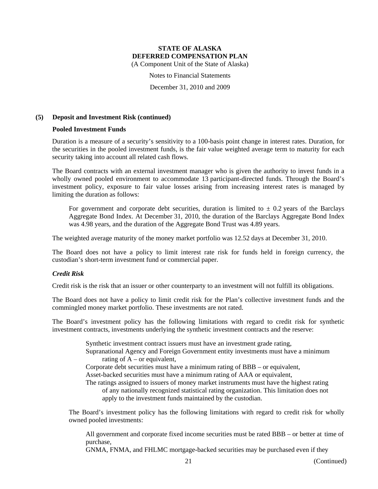(A Component Unit of the State of Alaska)

Notes to Financial Statements

December 31, 2010 and 2009

### **(5) Deposit and Investment Risk (continued)**

#### **Pooled Investment Funds**

Duration is a measure of a security's sensitivity to a 100-basis point change in interest rates. Duration, for the securities in the pooled investment funds, is the fair value weighted average term to maturity for each security taking into account all related cash flows.

The Board contracts with an external investment manager who is given the authority to invest funds in a wholly owned pooled environment to accommodate 13 participant-directed funds. Through the Board's investment policy, exposure to fair value losses arising from increasing interest rates is managed by limiting the duration as follows:

For government and corporate debt securities, duration is limited to  $\pm$  0.2 years of the Barclays Aggregate Bond Index. At December 31, 2010, the duration of the Barclays Aggregate Bond Index was 4.98 years, and the duration of the Aggregate Bond Trust was 4.89 years.

The weighted average maturity of the money market portfolio was 12.52 days at December 31, 2010.

The Board does not have a policy to limit interest rate risk for funds held in foreign currency, the custodian's short-term investment fund or commercial paper.

## *Credit Risk*

Credit risk is the risk that an issuer or other counterparty to an investment will not fulfill its obligations.

The Board does not have a policy to limit credit risk for the Plan's collective investment funds and the commingled money market portfolio. These investments are not rated.

The Board's investment policy has the following limitations with regard to credit risk for synthetic investment contracts, investments underlying the synthetic investment contracts and the reserve:

Synthetic investment contract issuers must have an investment grade rating,

Supranational Agency and Foreign Government entity investments must have a minimum rating of  $A - or$  equivalent,

Corporate debt securities must have a minimum rating of BBB – or equivalent,

Asset-backed securities must have a minimum rating of AAA or equivalent,

The ratings assigned to issuers of money market instruments must have the highest rating of any nationally recognized statistical rating organization. This limitation does not apply to the investment funds maintained by the custodian.

The Board's investment policy has the following limitations with regard to credit risk for wholly owned pooled investments:

All government and corporate fixed income securities must be rated BBB – or better at time of purchase,

GNMA, FNMA, and FHLMC mortgage-backed securities may be purchased even if they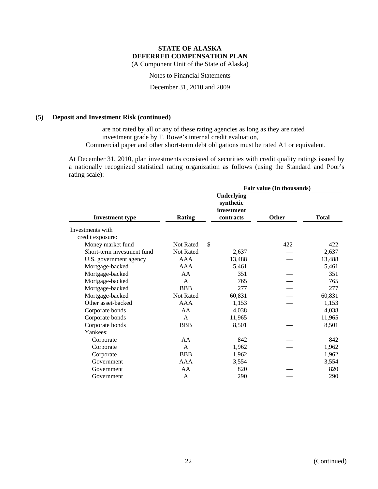(A Component Unit of the State of Alaska)

Notes to Financial Statements

December 31, 2010 and 2009

#### **(5) Deposit and Investment Risk (continued)**

 are not rated by all or any of these rating agencies as long as they are rated investment grade by T. Rowe's internal credit evaluation, Commercial paper and other short-term debt obligations must be rated A1 or equivalent.

At December 31, 2010, plan investments consisted of securities with credit quality ratings issued by a nationally recognized statistical rating organization as follows (using the Standard and Poor's rating scale):

|                            |                  |    | Fair value (In thousands)                                 |              |              |  |
|----------------------------|------------------|----|-----------------------------------------------------------|--------------|--------------|--|
| <b>Investment type</b>     | <b>Rating</b>    |    | <b>Underlying</b><br>synthetic<br>investment<br>contracts | <b>Other</b> | <b>Total</b> |  |
| Investments with           |                  |    |                                                           |              |              |  |
| credit exposure:           |                  |    |                                                           |              |              |  |
| Money market fund          | <b>Not Rated</b> | \$ |                                                           | 422          | 422          |  |
| Short-term investment fund | <b>Not Rated</b> |    | 2,637                                                     |              | 2,637        |  |
| U.S. government agency     | <b>AAA</b>       |    | 13,488                                                    |              | 13,488       |  |
| Mortgage-backed            | AAA              |    | 5,461                                                     |              | 5,461        |  |
| Mortgage-backed            | AA               |    | 351                                                       |              | 351          |  |
| Mortgage-backed            | $\mathsf{A}$     |    | 765                                                       |              | 765          |  |
| Mortgage-backed            | <b>BBB</b>       |    | 277                                                       |              | 277          |  |
| Mortgage-backed            | <b>Not Rated</b> |    | 60,831                                                    |              | 60,831       |  |
| Other asset-backed         | AAA              |    | 1,153                                                     |              | 1,153        |  |
| Corporate bonds            | AA               |    | 4,038                                                     |              | 4,038        |  |
| Corporate bonds            | $\mathsf{A}$     |    | 11,965                                                    |              | 11,965       |  |
| Corporate bonds            | <b>BBB</b>       |    | 8,501                                                     |              | 8,501        |  |
| Yankees:                   |                  |    |                                                           |              |              |  |
| Corporate                  | AA               |    | 842                                                       |              | 842          |  |
| Corporate                  | $\mathsf{A}$     |    | 1,962                                                     |              | 1,962        |  |
| Corporate                  | <b>BBB</b>       |    | 1,962                                                     |              | 1,962        |  |
| Government                 | <b>AAA</b>       |    | 3,554                                                     |              | 3,554        |  |
| Government                 | AA               |    | 820                                                       |              | 820          |  |
| Government                 | A                |    | 290                                                       |              | 290          |  |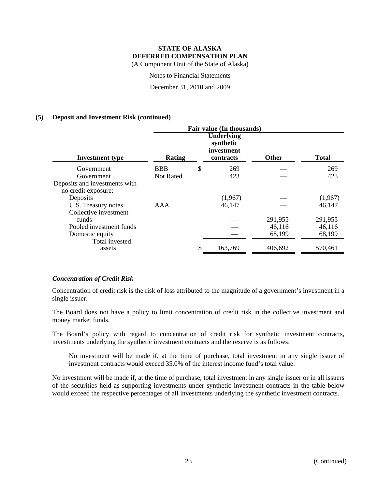(A Component Unit of the State of Alaska)

Notes to Financial Statements

December 31, 2010 and 2009

## **(5) Deposit and Investment Risk (continued)**

|                                                      | Fair value (In thousands) |    |                                                           |              |              |  |
|------------------------------------------------------|---------------------------|----|-----------------------------------------------------------|--------------|--------------|--|
| <b>Investment type</b>                               | Rating                    |    | <b>Underlying</b><br>synthetic<br>investment<br>contracts | <b>Other</b> | <b>Total</b> |  |
| Government                                           | <b>BBB</b>                | \$ | 269                                                       |              | 269          |  |
| Government                                           | Not Rated                 |    | 423                                                       |              | 423          |  |
| Deposits and investments with<br>no credit exposure: |                           |    |                                                           |              |              |  |
| Deposits                                             |                           |    | (1,967)                                                   |              | (1,967)      |  |
| U.S. Treasury notes<br>Collective investment         | AAA                       |    | 46,147                                                    |              | 46,147       |  |
| funds                                                |                           |    |                                                           | 291,955      | 291,955      |  |
| Pooled investment funds                              |                           |    |                                                           | 46,116       | 46,116       |  |
| Domestic equity                                      |                           |    |                                                           | 68,199       | 68,199       |  |
| Total invested<br>assets                             |                           | S  | 163,769                                                   | 406,692      | 570,461      |  |

## *Concentration of Credit Risk*

Concentration of credit risk is the risk of loss attributed to the magnitude of a government's investment in a single issuer.

The Board does not have a policy to limit concentration of credit risk in the collective investment and money market funds.

The Board's policy with regard to concentration of credit risk for synthetic investment contracts, investments underlying the synthetic investment contracts and the reserve is as follows:

No investment will be made if, at the time of purchase, total investment in any single issuer of investment contracts would exceed 35.0% of the interest income fund's total value.

No investment will be made if, at the time of purchase, total investment in any single issuer or in all issuers of the securities held as supporting investments under synthetic investment contracts in the table below would exceed the respective percentages of all investments underlying the synthetic investment contracts.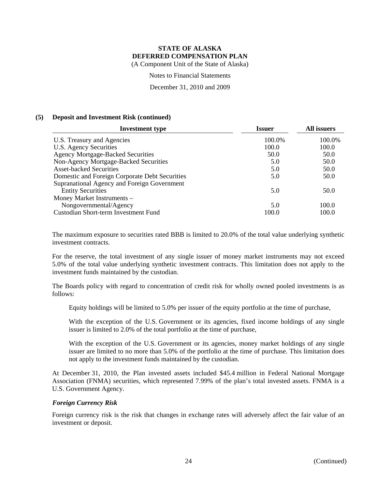(A Component Unit of the State of Alaska)

Notes to Financial Statements

December 31, 2010 and 2009

### **(5) Deposit and Investment Risk (continued)**

| <b>Investment type</b>                         | Issuer | All issuers |
|------------------------------------------------|--------|-------------|
| U.S. Treasury and Agencies                     | 100.0% | 100.0%      |
| U.S. Agency Securities                         | 100.0  | 100.0       |
| <b>Agency Mortgage-Backed Securities</b>       | 50.0   | 50.0        |
| Non-Agency Mortgage-Backed Securities          | 5.0    | 50.0        |
| <b>Asset-backed Securities</b>                 | 5.0    | 50.0        |
| Domestic and Foreign Corporate Debt Securities | 5.0    | 50.0        |
| Supranational Agency and Foreign Government    |        |             |
| <b>Entity Securities</b>                       | 5.0    | 50.0        |
| Money Market Instruments -                     |        |             |
| Nongovernmental/Agency                         | 5.0    | 100.0       |
| Custodian Short-term Investment Fund           | 100.0  | 100.0       |

The maximum exposure to securities rated BBB is limited to 20.0% of the total value underlying synthetic investment contracts.

For the reserve, the total investment of any single issuer of money market instruments may not exceed 5.0% of the total value underlying synthetic investment contracts. This limitation does not apply to the investment funds maintained by the custodian.

The Boards policy with regard to concentration of credit risk for wholly owned pooled investments is as follows:

Equity holdings will be limited to 5.0% per issuer of the equity portfolio at the time of purchase,

With the exception of the U.S. Government or its agencies, fixed income holdings of any single issuer is limited to 2.0% of the total portfolio at the time of purchase,

With the exception of the U.S. Government or its agencies, money market holdings of any single issuer are limited to no more than 5.0% of the portfolio at the time of purchase. This limitation does not apply to the investment funds maintained by the custodian.

At December 31, 2010, the Plan invested assets included \$45.4 million in Federal National Mortgage Association (FNMA) securities, which represented 7.99% of the plan's total invested assets. FNMA is a U.S. Government Agency.

## *Foreign Currency Risk*

Foreign currency risk is the risk that changes in exchange rates will adversely affect the fair value of an investment or deposit.